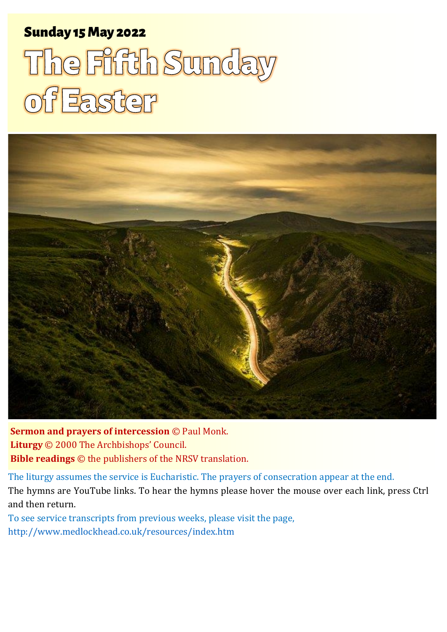### Sunday 15 May 2022 1 The Fifth Sunday of Easter Sunday 15May 2022

# The Fifth Sunday<br>of Easter



**Sermon and prayers of intercession** © Paul Monk. **Liturgy** © 2000 The Archbishops' Council. **Bible readings** © the publishers of the NRSV translation.

The liturgy assumes the service is Eucharistic. The prayers of consecration appear at the end. The hymns are YouTube links. To hear the hymns please hover the mouse over each link, press Ctrl and then return.

To see service transcripts from previous weeks, please visit the page, <http://www.medlockhead.co.uk/resources/index.htm>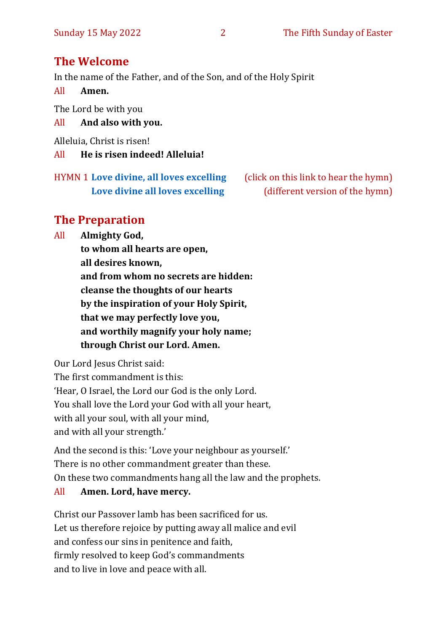#### **The Welcome**

In the name of the Father, and of the Son, and of the Holy Spirit

All **Amen.**

The Lord be with you

#### All **And also with you.**

Alleluia, Christ is risen!

#### All **He is risen indeed! Alleluia!**

HYMN 1 **[Love divine, all loves excelling](https://youtu.be/jPsxqQsnzJA)** (click on this link to hear the hymn)

**[Love divine all loves excelling](https://www.youtube.com/watch?v=_hmfqe_8SEI&list=RD_hmfqe_8SEI&start_radio=1&rv=_hmfqe_8SEI&t=51)** (different version of the hymn)

#### **The Preparation**

All **Almighty God,**

**to whom all hearts are open, all desires known, and from whom no secrets are hidden: cleanse the thoughts of our hearts by the inspiration of your Holy Spirit, that we may perfectly love you, and worthily magnify your holy name; through Christ our Lord. Amen.**

Our Lord Jesus Christ said:

The first commandment is this: 'Hear, O Israel, the Lord our God is the only Lord. You shall love the Lord your God with all your heart, with all your soul, with all your mind, and with all your strength.'

And the second is this: 'Love your neighbour as yourself.' There is no other commandment greater than these. On these two commandments hang all the law and the prophets.

#### All **Amen. Lord, have mercy.**

Christ our Passover lamb has been sacrificed for us. Let us therefore rejoice by putting away all malice and evil and confess our sins in penitence and faith, firmly resolved to keep God's commandments and to live in love and peace with all.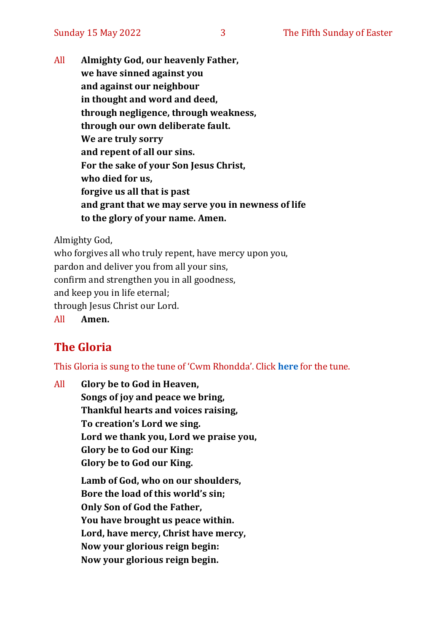All **Almighty God, our heavenly Father, we have sinned against you and against our neighbour in thought and word and deed, through negligence, through weakness, through our own deliberate fault. We are truly sorry and repent of all our sins. For the sake of your Son Jesus Christ, who died for us, forgive us all that is past and grant that we may serve you in newness of life to the glory of your name. Amen.**

Almighty God,

who forgives all who truly repent, have mercy upon you, pardon and deliver you from all your sins, confirm and strengthen you in all goodness, and keep you in life eternal; through Jesus Christ our Lord.

All **Amen.**

#### **The Gloria**

This Gloria is sung to the tune of 'Cwm Rhondda'. Click **[here](about:blank)** for the tune.

All **Glory be to God in Heaven, Songs of joy and peace we bring, Thankful hearts and voices raising, To creation's Lord we sing. Lord we thank you, Lord we praise you, Glory be to God our King: Glory be to God our King. Lamb of God, who on our shoulders, Bore the load of this world's sin; Only Son of God the Father, You have brought us peace within. Lord, have mercy, Christ have mercy, Now your glorious reign begin:**

**Now your glorious reign begin.**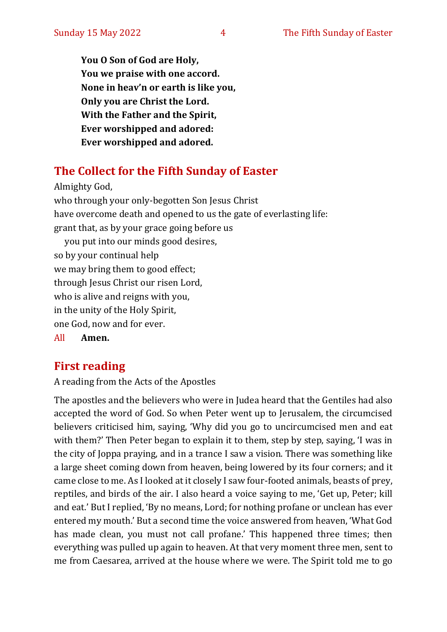**You O Son of God are Holy, You we praise with one accord. None in heav'n or earth is like you, Only you are Christ the Lord. With the Father and the Spirit, Ever worshipped and adored: Ever worshipped and adored.**

#### **The Collect for the Fifth Sunday of Easter**

Almighty God, who through your only-begotten Son Jesus Christ have overcome death and opened to us the gate of everlasting life: grant that, as by your grace going before us you put into our minds good desires, so by your continual help we may bring them to good effect; through Jesus Christ our risen Lord, who is alive and reigns with you, in the unity of the Holy Spirit, one God, now and for ever. All **Amen.**

#### **First reading**

A reading from the Acts of the Apostles

The apostles and the believers who were in Judea heard that the Gentiles had also accepted the word of God. So when Peter went up to Jerusalem, the circumcised believers criticised him, saying, 'Why did you go to uncircumcised men and eat with them?' Then Peter began to explain it to them, step by step, saying, 'I was in the city of Joppa praying, and in a trance I saw a vision. There was something like a large sheet coming down from heaven, being lowered by its four corners; and it came close to me. As I looked at it closely I saw four-footed animals, beasts of prey, reptiles, and birds of the air. I also heard a voice saying to me, 'Get up, Peter; kill and eat.' But I replied, 'By no means, Lord; for nothing profane or unclean has ever entered my mouth.' But a second time the voice answered from heaven, 'What God has made clean, you must not call profane.' This happened three times; then everything was pulled up again to heaven. At that very moment three men, sent to me from Caesarea, arrived at the house where we were. The Spirit told me to go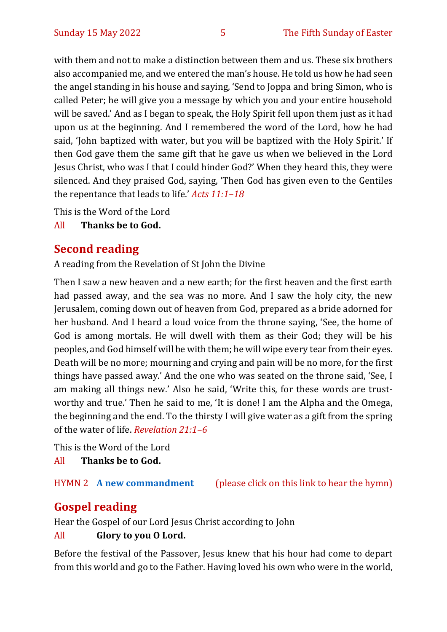with them and not to make a distinction between them and us. These six brothers also accompanied me, and we entered the man's house. He told us how he had seen the angel standing in his house and saying, 'Send to Joppa and bring Simon, who is called Peter; he will give you a message by which you and your entire household will be saved.' And as I began to speak, the Holy Spirit fell upon them just as it had upon us at the beginning. And I remembered the word of the Lord, how he had said, 'John baptized with water, but you will be baptized with the Holy Spirit.' If then God gave them the same gift that he gave us when we believed in the Lord Jesus Christ, who was I that I could hinder God?' When they heard this, they were silenced. And they praised God, saying, 'Then God has given even to the Gentiles the repentance that leads to life.' *Acts 11:1–18*

This is the Word of the Lord

All **Thanks be to God.**

#### **Second reading**

A reading from the Revelation of St John the Divine

Then I saw a new heaven and a new earth; for the first heaven and the first earth had passed away, and the sea was no more. And I saw the holy city, the new Jerusalem, coming down out of heaven from God, prepared as a bride adorned for her husband. And I heard a loud voice from the throne saying, 'See, the home of God is among mortals. He will dwell with them as their God; they will be his peoples, and God himself will be with them; he will wipe every tear from their eyes. Death will be no more; mourning and crying and pain will be no more, for the first things have passed away.' And the one who was seated on the throne said, 'See, I am making all things new.' Also he said, 'Write this, for these words are trustworthy and true.' Then he said to me, 'It is done! I am the Alpha and the Omega, the beginning and the end. To the thirsty I will give water as a gift from the spring of the water of life. *Revelation 21:1–6*

This is the Word of the Lord

All **Thanks be to God.**

HYMN 2 **[A new commandment](https://www.youtube.com/watch?v=aqM2Ujl7Aas)** (please click on this link to hear the hymn)

#### **Gospel reading**

Hear the Gospel of our Lord Jesus Christ according to John All **Glory to you O Lord.**

Before the festival of the Passover, Jesus knew that his hour had come to depart from this world and go to the Father. Having loved his own who were in the world,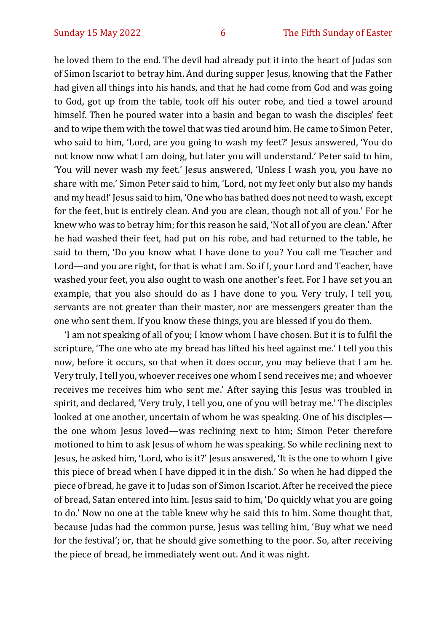he loved them to the end. The devil had already put it into the heart of Judas son of Simon Iscariot to betray him. And during supper Jesus, knowing that the Father had given all things into his hands, and that he had come from God and was going to God, got up from the table, took off his outer robe, and tied a towel around himself. Then he poured water into a basin and began to wash the disciples' feet and to wipe them with the towel that was tied around him. He came to Simon Peter, who said to him, 'Lord, are you going to wash my feet?' Jesus answered, 'You do not know now what I am doing, but later you will understand.' Peter said to him, 'You will never wash my feet.' Jesus answered, 'Unless I wash you, you have no share with me.' Simon Peter said to him, 'Lord, not my feet only but also my hands and my head!' Jesus said to him, 'One who has bathed does not need to wash, except for the feet, but is entirely clean. And you are clean, though not all of you.' For he knew who was to betray him; for this reason he said, 'Not all of you are clean.' After he had washed their feet, had put on his robe, and had returned to the table, he said to them, 'Do you know what I have done to you? You call me Teacher and Lord—and you are right, for that is what I am. So if I, your Lord and Teacher, have washed your feet, you also ought to wash one another's feet. For I have set you an example, that you also should do as I have done to you. Very truly, I tell you, servants are not greater than their master, nor are messengers greater than the one who sent them. If you know these things, you are blessed if you do them.

'I am not speaking of all of you; I know whom I have chosen. But it is to fulfil the scripture, 'The one who ate my bread has lifted his heel against me.' I tell you this now, before it occurs, so that when it does occur, you may believe that I am he. Very truly, I tell you, whoever receives one whom I send receives me; and whoever receives me receives him who sent me.' After saying this Jesus was troubled in spirit, and declared, 'Very truly, I tell you, one of you will betray me.' The disciples looked at one another, uncertain of whom he was speaking. One of his disciples the one whom Jesus loved—was reclining next to him; Simon Peter therefore motioned to him to ask Jesus of whom he was speaking. So while reclining next to Jesus, he asked him, 'Lord, who is it?' Jesus answered, 'It is the one to whom I give this piece of bread when I have dipped it in the dish.' So when he had dipped the piece of bread, he gave it to Judas son of Simon Iscariot. After he received the piece of bread, Satan entered into him. Jesus said to him, 'Do quickly what you are going to do.' Now no one at the table knew why he said this to him. Some thought that, because Judas had the common purse, Jesus was telling him, 'Buy what we need for the festival'; or, that he should give something to the poor. So, after receiving the piece of bread, he immediately went out. And it was night.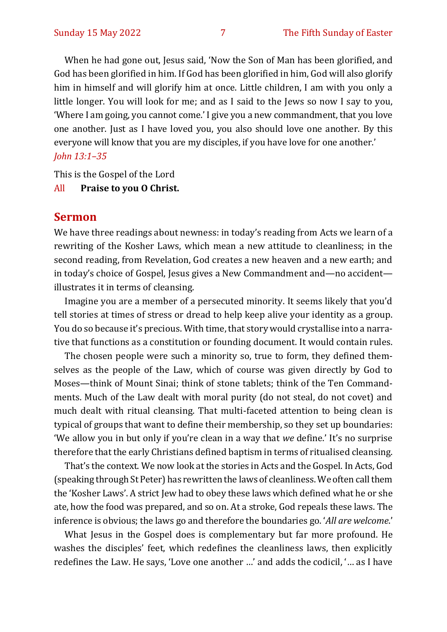When he had gone out, Jesus said, 'Now the Son of Man has been glorified, and God has been glorified in him. If God has been glorified in him, God will also glorify him in himself and will glorify him at once. Little children, I am with you only a little longer. You will look for me; and as I said to the Jews so now I say to you, 'Where I am going, you cannot come.' I give you a new commandment, that you love one another. Just as I have loved you, you also should love one another. By this everyone will know that you are my disciples, if you have love for one another.' *John 13:1–35*

This is the Gospel of the Lord

#### All **Praise to you O Christ.**

#### **Sermon**

We have three readings about newness: in today's reading from Acts we learn of a rewriting of the Kosher Laws, which mean a new attitude to cleanliness; in the second reading, from Revelation, God creates a new heaven and a new earth; and in today's choice of Gospel, Jesus gives a New Commandment and—no accident illustrates it in terms of cleansing.

Imagine you are a member of a persecuted minority. It seems likely that you'd tell stories at times of stress or dread to help keep alive your identity as a group. You do so because it's precious. With time, that story would crystallise into a narrative that functions as a constitution or founding document. It would contain rules.

The chosen people were such a minority so, true to form, they defined themselves as the people of the Law, which of course was given directly by God to Moses—think of Mount Sinai; think of stone tablets; think of the Ten Commandments. Much of the Law dealt with moral purity (do not steal, do not covet) and much dealt with ritual cleansing. That multi-faceted attention to being clean is typical of groups that want to define their membership, so they set up boundaries: 'We allow you in but only if you're clean in a way that *we* define.' It's no surprise therefore that the early Christians defined baptism in terms of ritualised cleansing.

That's the context. We now look at the stories in Acts and the Gospel. In Acts, God (speaking through St Peter) has rewritten the laws of cleanliness. We often call them the 'Kosher Laws'. A strict Jew had to obey these laws which defined what he or she ate, how the food was prepared, and so on. At a stroke, God repeals these laws. The inference is obvious; the laws go and therefore the boundaries go. '*All are welcome*.'

What Jesus in the Gospel does is complementary but far more profound. He washes the disciples' feet, which redefines the cleanliness laws, then explicitly redefines the Law. He says, 'Love one another …' and adds the codicil, '… as I have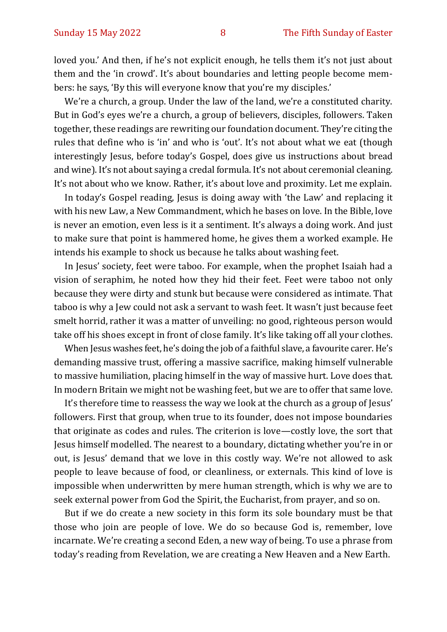loved you.' And then, if he's not explicit enough, he tells them it's not just about them and the 'in crowd'. It's about boundaries and letting people become members: he says, 'By this will everyone know that you're my disciples.'

We're a church, a group. Under the law of the land, we're a constituted charity. But in God's eyes we're a church, a group of believers, disciples, followers. Taken together, these readings are rewriting our foundation document. They're citing the rules that define who is 'in' and who is 'out'. It's not about what we eat (though interestingly Jesus, before today's Gospel, does give us instructions about bread and wine). It's not about saying a credal formula. It's not about ceremonial cleaning. It's not about who we know. Rather, it's about love and proximity. Let me explain.

In today's Gospel reading, Jesus is doing away with 'the Law' and replacing it with his new Law, a New Commandment, which he bases on love. In the Bible, love is never an emotion, even less is it a sentiment. It's always a doing work. And just to make sure that point is hammered home, he gives them a worked example. He intends his example to shock us because he talks about washing feet.

In Jesus' society, feet were taboo. For example, when the prophet Isaiah had a vision of seraphim, he noted how they hid their feet. Feet were taboo not only because they were dirty and stunk but because were considered as intimate. That taboo is why a Jew could not ask a servant to wash feet. It wasn't just because feet smelt horrid, rather it was a matter of unveiling: no good, righteous person would take off his shoes except in front of close family. It's like taking off all your clothes.

When Jesus washes feet, he's doing the job of a faithful slave, a favourite carer. He's demanding massive trust, offering a massive sacrifice, making himself vulnerable to massive humiliation, placing himself in the way of massive hurt. Love does that. In modern Britain we might not be washing feet, but we are to offer that same love.

It's therefore time to reassess the way we look at the church as a group of Jesus' followers. First that group, when true to its founder, does not impose boundaries that originate as codes and rules. The criterion is love—costly love, the sort that Jesus himself modelled. The nearest to a boundary, dictating whether you're in or out, is Jesus' demand that we love in this costly way. We're not allowed to ask people to leave because of food, or cleanliness, or externals. This kind of love is impossible when underwritten by mere human strength, which is why we are to seek external power from God the Spirit, the Eucharist, from prayer, and so on.

But if we do create a new society in this form its sole boundary must be that those who join are people of love. We do so because God is, remember, love incarnate. We're creating a second Eden, a new way of being. To use a phrase from today's reading from Revelation, we are creating a New Heaven and a New Earth.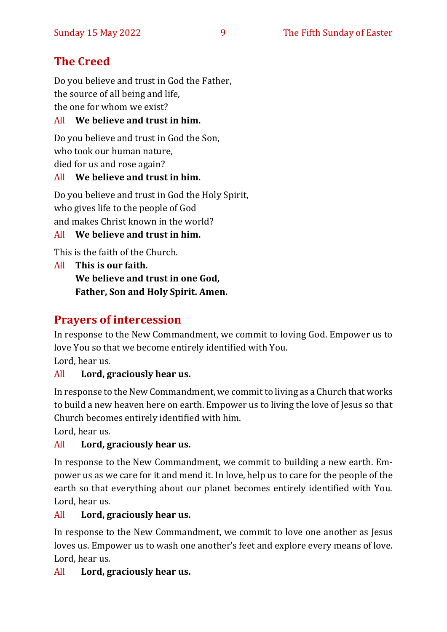#### **The Creed**

Do you believe and trust in God the Father, the source of all being and life, the one for whom we exist?

#### All **We believe and trust in him.**

Do you believe and trust in God the Son, who took our human nature, died for us and rose again?

#### All **We believe and trust in him.**

Do you believe and trust in God the Holy Spirit, who gives life to the people of God and makes Christ known in the world?

#### All **We believe and trust in him.**

This is the faith of the Church.

All **This is our faith. We believe and trust in one God, Father, Son and Holy Spirit. Amen.**

#### **Prayers of intercession**

In response to the New Commandment, we commit to loving God. Empower us to love You so that we become entirely identified with You. Lord, hear us.

#### All **Lord, graciously hear us.**

In response to the New Commandment, we commit to living as a Church that works to build a new heaven here on earth. Empower us to living the love of Jesus so that Church becomes entirely identified with him.

Lord, hear us.

#### All **Lord, graciously hear us.**

In response to the New Commandment, we commit to building a new earth. Empower us as we care for it and mend it. In love, help us to care for the people of the earth so that everything about our planet becomes entirely identified with You. Lord, hear us.

#### All **Lord, graciously hear us.**

In response to the New Commandment, we commit to love one another as Jesus loves us. Empower us to wash one another's feet and explore every means of love. Lord, hear us.

#### All **Lord, graciously hear us.**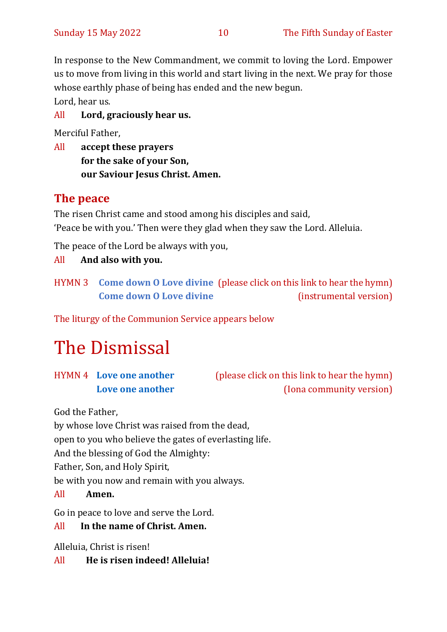In response to the New Commandment, we commit to loving the Lord. Empower us to move from living in this world and start living in the next. We pray for those whose earthly phase of being has ended and the new begun.

Lord, hear us.

All **Lord, graciously hear us.** 

Merciful Father,

All **accept these prayers for the sake of your Son, our Saviour Jesus Christ. Amen.**

#### **The peace**

The risen Christ came and stood among his disciples and said, 'Peace be with you.' Then were they glad when they saw the Lord. Alleluia.

The peace of the Lord be always with you,

#### All **And also with you.**

HYMN 3 **[Come down O Love divine](https://youtu.be/FbPclyCaY0w)** (please click on this link to hear the hymn) **[Come down O Love divine](https://www.youtube.com/watch?v=0S5pYyxwZVc)** (instrumental version)

The liturgy of the Communion Service appears below

# The Dismissal

HYMN 4 **[Love one another](https://www.youtube.com/watch?v=DzP2xprUeAQ)** (please click on this link to hear the hymn) **[Love one another](https://youtu.be/hQQQWGXqy6U)** (Iona community version)

God the Father,

by whose love Christ was raised from the dead,

open to you who believe the gates of everlasting life.

And the blessing of God the Almighty:

Father, Son, and Holy Spirit,

be with you now and remain with you always.

#### All **Amen.**

Go in peace to love and serve the Lord.

#### All **In the name of Christ. Amen.**

Alleluia, Christ is risen!

#### All **He is risen indeed! Alleluia!**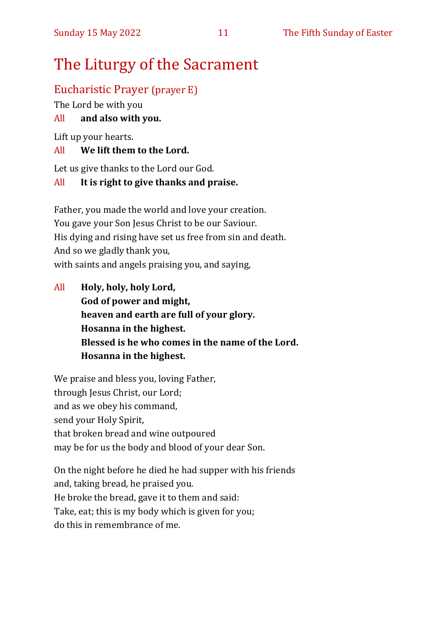## The Liturgy of the Sacrament

#### Eucharistic Prayer (prayer E)

The Lord be with you

#### All **and also with you.**

Lift up your hearts.

#### All **We lift them to the Lord.**

Let us give thanks to the Lord our God.

#### All **It is right to give thanks and praise.**

Father, you made the world and love your creation. You gave your Son Jesus Christ to be our Saviour. His dying and rising have set us free from sin and death. And so we gladly thank you, with saints and angels praising you, and saying,

All **Holy, holy, holy Lord, God of power and might, heaven and earth are full of your glory. Hosanna in the highest. Blessed is he who comes in the name of the Lord. Hosanna in the highest.**

We praise and bless you, loving Father, through Jesus Christ, our Lord; and as we obey his command, send your Holy Spirit, that broken bread and wine outpoured may be for us the body and blood of your dear Son.

On the night before he died he had supper with his friends and, taking bread, he praised you. He broke the bread, gave it to them and said: Take, eat; this is my body which is given for you; do this in remembrance of me.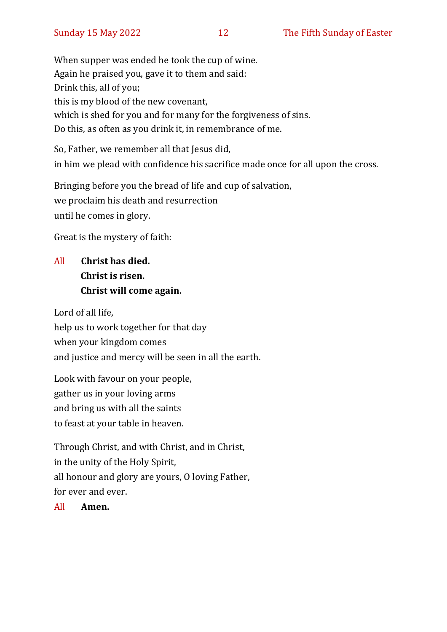When supper was ended he took the cup of wine. Again he praised you, gave it to them and said: Drink this, all of you; this is my blood of the new covenant, which is shed for you and for many for the forgiveness of sins. Do this, as often as you drink it, in remembrance of me.

So, Father, we remember all that Jesus did, in him we plead with confidence his sacrifice made once for all upon the cross.

Bringing before you the bread of life and cup of salvation, we proclaim his death and resurrection until he comes in glory.

Great is the mystery of faith:

#### All **Christ has died. Christ is risen. Christ will come again.**

Lord of all life, help us to work together for that day when your kingdom comes and justice and mercy will be seen in all the earth.

Look with favour on your people, gather us in your loving arms and bring us with all the saints to feast at your table in heaven.

Through Christ, and with Christ, and in Christ, in the unity of the Holy Spirit, all honour and glory are yours, O loving Father, for ever and ever.

All **Amen.**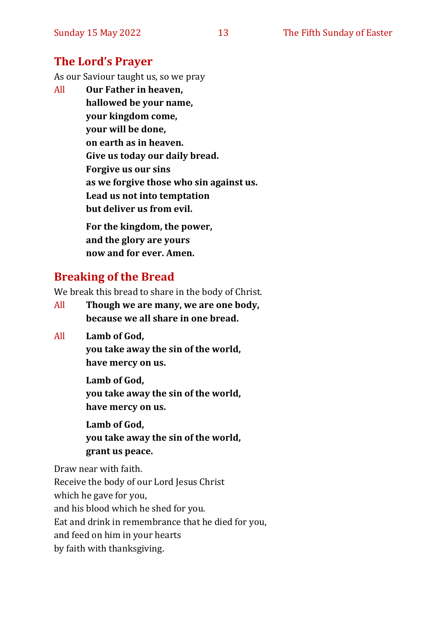#### **The Lord's Prayer**

As our Saviour taught us, so we pray

All **Our Father in heaven, hallowed be your name, your kingdom come, your will be done, on earth as in heaven. Give us today our daily bread. Forgive us our sins as we forgive those who sin against us. Lead us not into temptation but deliver us from evil. For the kingdom, the power,** 

**and the glory are yours now and for ever. Amen.**

#### **Breaking of the Bread**

We break this bread to share in the body of Christ.

- All **Though we are many, we are one body, because we all share in one bread.**
- All **Lamb of God,**

**you take away the sin of the world, have mercy on us.**

**Lamb of God, you take away the sin of the world, have mercy on us.**

**Lamb of God, you take away the sin of the world, grant us peace.**

Draw near with faith.

Receive the body of our Lord Jesus Christ which he gave for you, and his blood which he shed for you. Eat and drink in remembrance that he died for you, and feed on him in your hearts by faith with thanksgiving.